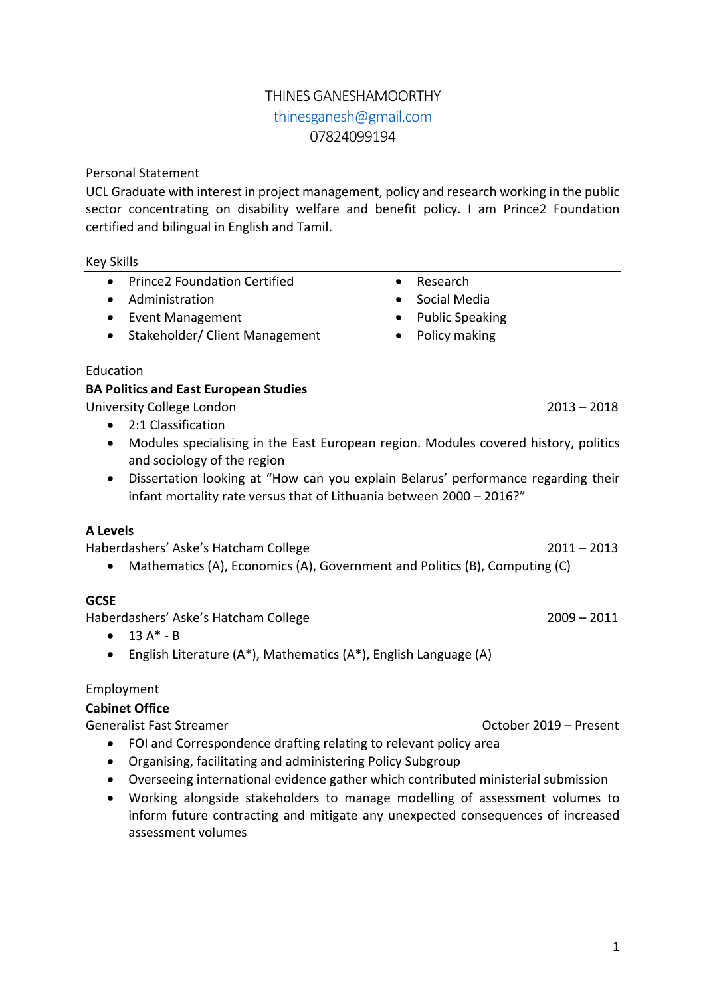## THINES GANESHAMOORTHY thinesganesh@gmail.com 07824099194

## Personal Statement

UCL Graduate with interest in project management, policy and research working in the public sector concentrating on disability welfare and benefit policy. I am Prince2 Foundation certified and bilingual in English and Tamil.

## Key Skills

- Prince2 Foundation Certified
- Administration
- Event Management
- Stakeholder/ Client Management
- Social Media • Public Speaking
	- Policy making

• Research

## Education

## **BA Politics and East European Studies**

University College London 2013 – 2018

- 2:1 Classification
- Modules specialising in the East European region. Modules covered history, politics and sociology of the region
- Dissertation looking at "How can you explain Belarus' performance regarding their infant mortality rate versus that of Lithuania between 2000 – 2016?"

## **A Levels**

Haberdashers' Aske's Hatcham College 2011 – 2013

• Mathematics (A), Economics (A), Government and Politics (B), Computing (C)

# **GCSE**

Haberdashers' Aske's Hatcham College 2009 – 2011

- $13 A^* B$
- English Literature (A\*), Mathematics (A\*), English Language (A)

# Employment

#### **Cabinet Office** Generalist Fast Streamer Contract Contract Contract Contract Contract October 2019 – Present

- FOI and Correspondence drafting relating to relevant policy area
- Organising, facilitating and administering Policy Subgroup
- Overseeing international evidence gather which contributed ministerial submission
- Working alongside stakeholders to manage modelling of assessment volumes to inform future contracting and mitigate any unexpected consequences of increased assessment volumes